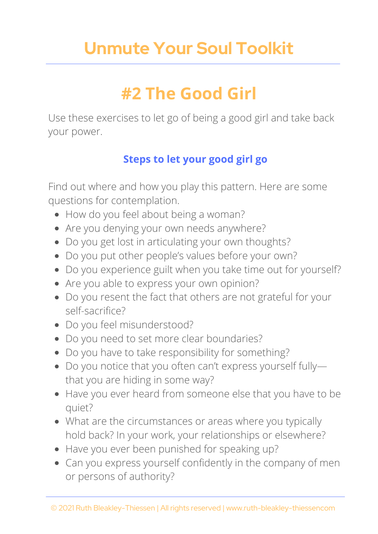# **Unmute Your Soul Toolkit**

# **#2 The Good Girl**

Use these exercises to let go of being a good girl and take back your power.

### **Steps to let your good girl go**

Find out where and how you play this pattern. Here are some questions for contemplation.

- How do you feel about being a woman?
- Are you denying your own needs anywhere?
- Do you get lost in articulating your own thoughts?
- Do you put other people's values before your own?
- Do you experience guilt when you take time out for yourself?
- Are you able to express your own opinion?
- Do you resent the fact that others are not grateful for your self-sacrifice?
- Do you feel misunderstood?
- Do you need to set more clear boundaries?
- Do you have to take responsibility for something?
- Do you notice that you often can't express yourself fully that you are hiding in some way?
- Have you ever heard from someone else that you have to be quiet?
- What are the circumstances or areas where you typically hold back? In your work, your relationships or elsewhere?
- Have you ever been punished for speaking up?
- Can you express yourself confidently in the company of men or persons of authority?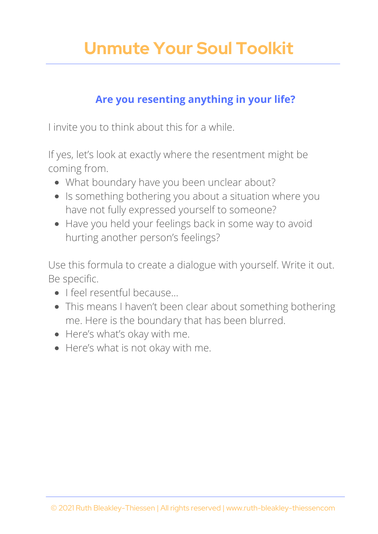# **Unmute Your Soul Toolkit**

#### **Are you resenting anything in your life?**

I invite you to think about this for a while.

If yes, let's look at exactly where the resentment might be coming from.

- What boundary have you been unclear about?
- Is something bothering you about a situation where you have not fully expressed yourself to someone?
- Have you held your feelings back in some way to avoid hurting another person's feelings?

Use this formula to create a dialogue with yourself. Write it out. Be specific.

- I feel resentful because...
- This means I haven't been clear about something bothering me. Here is the boundary that has been blurred.
- Here's what's okay with me.
- Here's what is not okay with me.